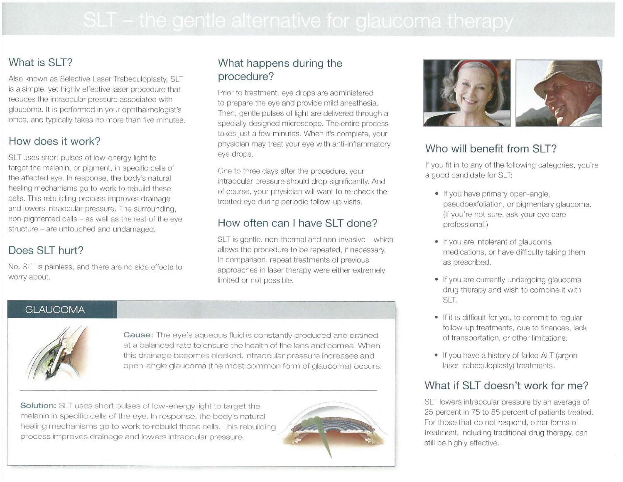# **What is SLT?**

Also known as Selective Laser Trabeculoplasty, SLT is a simple, yet highly effective laser procedure that reduces the intraocular pressure associated with glaucoma. It is performed in your ophthalmologist's office. and typically takes no more than five minutes.

# **How does it work?**

SLT uses short pulses of low-energy light to target the melanin, or pigment, in specific cells of the affected eye. In response, the body's natural healing mechanisms go to work to rebuild these cells. This rebuilding process improves drainage and lowers intraocular pressure. The surrounding, non-pigmented cells - as well as the rest of the eye structure - are untouched and undamaged.

# **Does SLT hurt?**

No. SLT is painless. and there are no side effects to worry about.

# **What happens during the procedure?**

Prior to treatment, eye drops are administered to prepare the eye and provide mild anesthesia. Then, gentle pulses of light are delivered through a specially designed microscope. The entire process takes just a few minutes. When it's complete, your physician may treat your eye with anti-inflammatory eye drops.

One to three days after the procedure, your intraocular pressure should drop significantly. And of course, your physician will want to re-check the treated eye during periodic follow-up visits.

# **How often can I have SLT done?**

SLT is gentle, non-thermal and non-invasive - which allows the procedure to be repeated, if necessary. In comparison, repeat treatments of previous approaches in laser therapy were either extremely limited or not possible.

### **GLAUCOMA**



**Cause:** The eye's aqueous fluid is constantly produced and drained at a balanced rate to ensure the health of the lens and cornea. When this drainage becomes blocked, intraocular pressure increases and open-angle glaucoma (the most common form of glaucoma) occurs.

**Solution:** SLT uses short pulses of low-energy light to target the melanin in specific cells of the eye. In response, the body's natural healing mechanisms go to work to rebuild these cells. This rebuilding process improves drainage and lowers intraocular pressure.





# **Who will benefit from SLT?**

If you fit in to any of the following categories, you're a good candidate for SLT:

- If you have primary open-angle, pseudoexfoliation, or pigmentary glaucoma. (If you're not sure, ask your eye care professional.)
- If you are intolerant of glaucoma medications, or have difficulty taking them as prescribed.
- If you are currently undergoing glaucoma drug therapy and wish to combine it with SLT.
- If it is difficult for you to commit to regular follow-up treatments, due to finances, lack of transportation, or other limitations.
- If you have a history of failed ALT (argon laser trabeculoplasty) treatments.

# **What if SLT doesn't work for me?**

SLT lowers intraocular pressure by an average of 25 percent in 75 to 85 percent of patients treated. For those that do not respond, other forms of treatment, including traditional drug therapy, can still be highly effective.